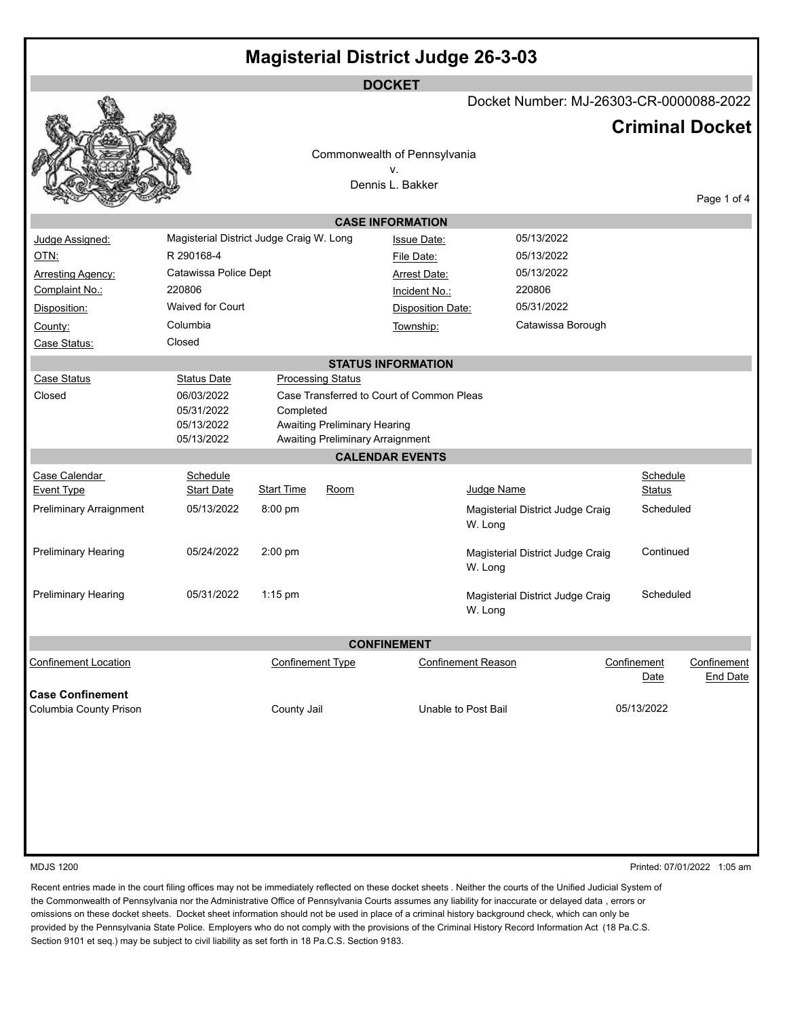| <b>Magisterial District Judge 26-3-03</b>         |                                                      |                         |                                                                  |                                           |                           |                                         |             |               |                                |
|---------------------------------------------------|------------------------------------------------------|-------------------------|------------------------------------------------------------------|-------------------------------------------|---------------------------|-----------------------------------------|-------------|---------------|--------------------------------|
| <b>DOCKET</b>                                     |                                                      |                         |                                                                  |                                           |                           |                                         |             |               |                                |
|                                                   |                                                      |                         |                                                                  |                                           |                           | Docket Number: MJ-26303-CR-0000088-2022 |             |               |                                |
|                                                   |                                                      |                         |                                                                  |                                           |                           |                                         |             |               | <b>Criminal Docket</b>         |
|                                                   |                                                      |                         |                                                                  | Commonwealth of Pennsylvania              |                           |                                         |             |               |                                |
|                                                   |                                                      |                         |                                                                  | ۷.                                        |                           |                                         |             |               |                                |
|                                                   |                                                      |                         |                                                                  | Dennis L. Bakker                          |                           |                                         |             |               | Page 1 of 4                    |
|                                                   |                                                      |                         |                                                                  | <b>CASE INFORMATION</b>                   |                           |                                         |             |               |                                |
| Judge Assigned:                                   | Magisterial District Judge Craig W. Long             |                         |                                                                  | <b>Issue Date:</b>                        |                           | 05/13/2022                              |             |               |                                |
| OTN:                                              | R 290168-4                                           |                         |                                                                  | File Date:                                |                           | 05/13/2022                              |             |               |                                |
| <b>Arresting Agency:</b>                          | Catawissa Police Dept                                |                         |                                                                  | <b>Arrest Date:</b>                       |                           | 05/13/2022                              |             |               |                                |
| Complaint No.:                                    | 220806                                               |                         |                                                                  | Incident No.:                             |                           | 220806                                  |             |               |                                |
| Disposition:                                      | Waived for Court                                     |                         |                                                                  | <b>Disposition Date:</b>                  |                           | 05/31/2022                              |             |               |                                |
| County:                                           | Columbia                                             |                         |                                                                  | Township:                                 |                           | Catawissa Borough                       |             |               |                                |
| Case Status:                                      | Closed                                               |                         |                                                                  |                                           |                           |                                         |             |               |                                |
|                                                   |                                                      |                         |                                                                  | <b>STATUS INFORMATION</b>                 |                           |                                         |             |               |                                |
| <b>Case Status</b>                                | <b>Status Date</b>                                   |                         | <b>Processing Status</b>                                         |                                           |                           |                                         |             |               |                                |
| Closed                                            | 06/03/2022<br>05/31/2022<br>05/13/2022<br>05/13/2022 | Completed               | Awaiting Preliminary Hearing<br>Awaiting Preliminary Arraignment | Case Transferred to Court of Common Pleas |                           |                                         |             |               |                                |
|                                                   |                                                      |                         |                                                                  | <b>CALENDAR EVENTS</b>                    |                           |                                         |             |               |                                |
| Case Calendar                                     | Schedule                                             |                         |                                                                  |                                           |                           |                                         |             | Schedule      |                                |
| <b>Event Type</b>                                 | <b>Start Date</b>                                    | <b>Start Time</b>       | Room                                                             |                                           | Judge Name                |                                         |             | <b>Status</b> |                                |
| <b>Preliminary Arraignment</b>                    | 05/13/2022                                           | 8:00 pm                 |                                                                  |                                           | W. Long                   | Magisterial District Judge Craig        |             | Scheduled     |                                |
| Preliminary Hearing                               | 05/24/2022                                           | 2:00 pm                 |                                                                  |                                           | W. Long                   | Magisterial District Judge Craig        |             | Continued     |                                |
| <b>Preliminary Hearing</b>                        | 05/31/2022                                           | $1:15$ pm               |                                                                  |                                           | W. Long                   | Magisterial District Judge Craig        |             | Scheduled     |                                |
| <b>CONFINEMENT</b>                                |                                                      |                         |                                                                  |                                           |                           |                                         |             |               |                                |
| <b>Confinement Location</b>                       |                                                      | <b>Confinement Type</b> |                                                                  |                                           | <b>Confinement Reason</b> |                                         | Confinement | Date          | Confinement<br><b>End Date</b> |
| <b>Case Confinement</b><br>Columbia County Prison | County Jail                                          |                         |                                                                  | Unable to Post Bail                       |                           | 05/13/2022                              |             |               |                                |
|                                                   |                                                      |                         |                                                                  |                                           |                           |                                         |             |               |                                |
|                                                   |                                                      |                         |                                                                  |                                           |                           |                                         |             |               |                                |

MDJS 1200 Printed: 07/01/2022 1:05 am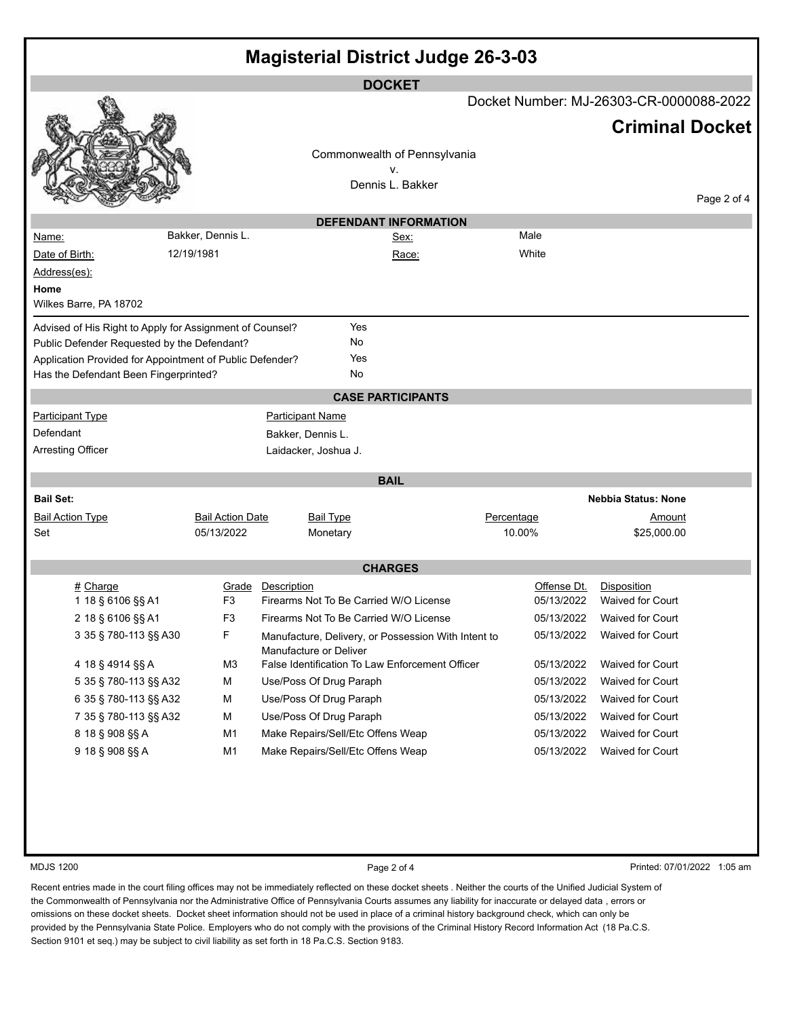| <b>Magisterial District Judge 26-3-03</b>                                                         |                         |                                                     |            |                  |                                         |             |  |
|---------------------------------------------------------------------------------------------------|-------------------------|-----------------------------------------------------|------------|------------------|-----------------------------------------|-------------|--|
|                                                                                                   |                         | <b>DOCKET</b>                                       |            |                  |                                         |             |  |
|                                                                                                   |                         |                                                     |            |                  | Docket Number: MJ-26303-CR-0000088-2022 |             |  |
|                                                                                                   |                         |                                                     |            |                  | <b>Criminal Docket</b>                  |             |  |
|                                                                                                   |                         | Commonwealth of Pennsylvania                        |            |                  |                                         |             |  |
|                                                                                                   |                         | v.                                                  |            |                  |                                         |             |  |
|                                                                                                   |                         | Dennis L. Bakker                                    |            |                  |                                         | Page 2 of 4 |  |
|                                                                                                   |                         | <b>DEFENDANT INFORMATION</b>                        |            |                  |                                         |             |  |
| <u>Name:</u>                                                                                      | Bakker, Dennis L.       | <u>Sex:</u>                                         |            | Male             |                                         |             |  |
| Date of Birth:                                                                                    | 12/19/1981              | Race:                                               |            | White            |                                         |             |  |
| Address(es):                                                                                      |                         |                                                     |            |                  |                                         |             |  |
| Home<br>Wilkes Barre, PA 18702                                                                    |                         |                                                     |            |                  |                                         |             |  |
|                                                                                                   |                         |                                                     |            |                  |                                         |             |  |
| Advised of His Right to Apply for Assignment of Counsel?                                          |                         | Yes                                                 |            |                  |                                         |             |  |
| Public Defender Requested by the Defendant?                                                       |                         | No<br>Yes                                           |            |                  |                                         |             |  |
| Application Provided for Appointment of Public Defender?<br>Has the Defendant Been Fingerprinted? |                         | No                                                  |            |                  |                                         |             |  |
|                                                                                                   |                         | <b>CASE PARTICIPANTS</b>                            |            |                  |                                         |             |  |
| <b>Participant Type</b>                                                                           |                         | <b>Participant Name</b>                             |            |                  |                                         |             |  |
| Defendant                                                                                         |                         | Bakker, Dennis L.                                   |            |                  |                                         |             |  |
| <b>Arresting Officer</b>                                                                          |                         | Laidacker, Joshua J.                                |            |                  |                                         |             |  |
|                                                                                                   |                         |                                                     |            |                  |                                         |             |  |
|                                                                                                   |                         | <b>BAIL</b>                                         |            |                  |                                         |             |  |
| <b>Bail Set:</b>                                                                                  |                         |                                                     |            |                  | <b>Nebbia Status: None</b>              |             |  |
| <b>Bail Action Type</b>                                                                           | <b>Bail Action Date</b> | <b>Bail Type</b>                                    |            | Percentage       |                                         |             |  |
| Set                                                                                               | 05/13/2022              | Monetary                                            | 10.00%     |                  | \$25,000.00                             |             |  |
| <b>CHARGES</b>                                                                                    |                         |                                                     |            |                  |                                         |             |  |
| # Charge                                                                                          | Grade                   | Description                                         |            | Offense Dt.      | Disposition                             |             |  |
| 1 18 § 6106 §§ A1                                                                                 | F <sub>3</sub>          | Firearms Not To Be Carried W/O License              |            | 05/13/2022       | <b>Waived for Court</b>                 |             |  |
| 2 18 § 6106 §§ A1                                                                                 | F <sub>3</sub>          | Firearms Not To Be Carried W/O License              |            |                  | 05/13/2022 Waived for Court             |             |  |
| 3 35 § 780-113 §§ A30                                                                             | F                       | Manufacture, Delivery, or Possession With Intent to |            | 05/13/2022       | Waived for Court                        |             |  |
|                                                                                                   |                         | Manufacture or Deliver                              |            |                  |                                         |             |  |
| 4 18 § 4914 §§ A                                                                                  | M3                      | False Identification To Law Enforcement Officer     |            | 05/13/2022       | Waived for Court                        |             |  |
| 5 35 § 780-113 §§ A32                                                                             | М                       | Use/Poss Of Drug Paraph                             |            | 05/13/2022       | Waived for Court                        |             |  |
| 6 35 § 780-113 §§ A32                                                                             | М                       | Use/Poss Of Drug Paraph                             | 05/13/2022 | Waived for Court |                                         |             |  |
| 7 35 § 780-113 §§ A32                                                                             | М                       | Use/Poss Of Drug Paraph                             |            | 05/13/2022       | Waived for Court                        |             |  |
| 8 18 § 908 §§ A                                                                                   | M1                      | Make Repairs/Sell/Etc Offens Weap                   |            | 05/13/2022       | <b>Waived for Court</b>                 |             |  |
| 9 18 § 908 §§ A                                                                                   | M <sub>1</sub>          | Make Repairs/Sell/Etc Offens Weap                   |            | 05/13/2022       | <b>Waived for Court</b>                 |             |  |
|                                                                                                   |                         |                                                     |            |                  |                                         |             |  |
|                                                                                                   |                         |                                                     |            |                  |                                         |             |  |
|                                                                                                   |                         |                                                     |            |                  |                                         |             |  |

MDJS 1200 **Page 2 of 4** Printed: 07/01/2022 1:05 am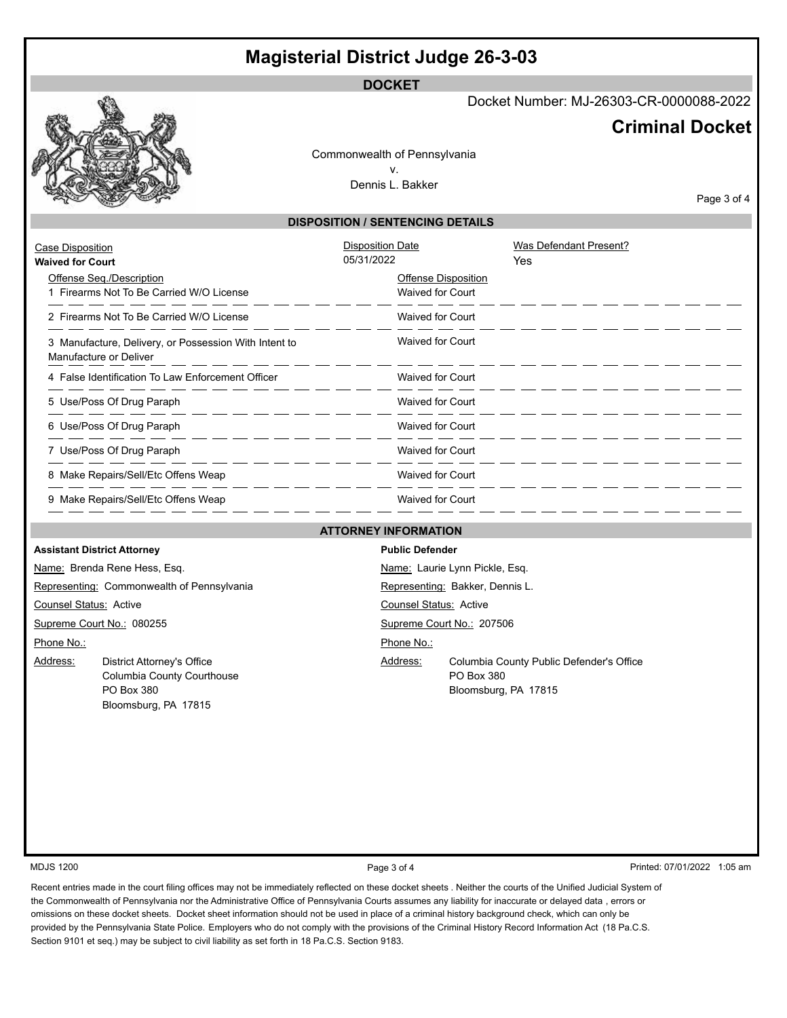## **Magisterial District Judge 26-3-03**

**DOCKET**

Docket Number: MJ-26303-CR-0000088-2022

## **Criminal Docket**

Commonwealth of Pennsylvania v. Dennis L. Bakker

Page 3 of 4

## **DISPOSITION / SENTENCING DETAILS**

| Case Disposition<br><b>Waived for Court</b>                                     | <b>Disposition Date</b><br>05/31/2022                 | Was Defendant Present?<br>Yes |
|---------------------------------------------------------------------------------|-------------------------------------------------------|-------------------------------|
| Offense Seg./Description<br>1 Firearms Not To Be Carried W/O License            | <b>Offense Disposition</b><br><b>Waived for Court</b> |                               |
| 2 Firearms Not To Be Carried W/O License                                        | <b>Waived for Court</b>                               |                               |
| 3 Manufacture, Delivery, or Possession With Intent to<br>Manufacture or Deliver | Waived for Court                                      |                               |
| 4 False Identification To Law Enforcement Officer                               | <b>Waived for Court</b>                               |                               |
| 5 Use/Poss Of Drug Paraph                                                       | <b>Waived for Court</b>                               |                               |
| 6 Use/Poss Of Drug Paraph                                                       | <b>Waived for Court</b>                               |                               |
| 7 Use/Poss Of Drug Paraph                                                       | <b>Waived for Court</b>                               |                               |
| 8 Make Repairs/Sell/Etc Offens Weap                                             | <b>Waived for Court</b>                               |                               |
| 9 Make Repairs/Sell/Etc Offens Weap                                             | <b>Waived for Court</b>                               |                               |

## **ATTORNEY INFORMATION**

| <b>Assistant District Attorney</b>         |                            | <b>Public Defender</b>          |                                          |  |  |
|--------------------------------------------|----------------------------|---------------------------------|------------------------------------------|--|--|
| Name: Brenda Rene Hess, Esq.               |                            | Name: Laurie Lynn Pickle, Esq.  |                                          |  |  |
| Representing: Commonwealth of Pennsylvania |                            | Representing: Bakker, Dennis L. |                                          |  |  |
| <b>Counsel Status: Active</b>              |                            | <b>Counsel Status: Active</b>   |                                          |  |  |
| Supreme Court No.: 080255                  |                            | Supreme Court No.: 207506       |                                          |  |  |
| Phone No.:                                 |                            | Phone No.:                      |                                          |  |  |
| Address:                                   | District Attorney's Office | Address:                        | Columbia County Public Defender's Office |  |  |
|                                            | Columbia County Courthouse |                                 | PO Box 380                               |  |  |
|                                            | <b>PO Box 380</b>          |                                 | Bloomsburg, PA 17815                     |  |  |
|                                            | Bloomsburg, PA 17815       |                                 |                                          |  |  |

MDJS 1200 **Page 3 of 4** Printed: 07/01/2022 1:05 am Printed: 07/01/2022 1:05 am